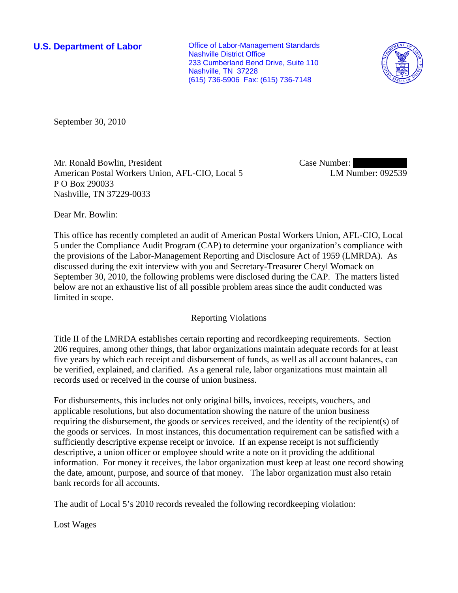**U.S. Department of Labor Conservative Conservative Conservative Conservative Conservative Conservative Conservative Conservative Conservative Conservative Conservative Conservative Conservative Conservative Conservative** Nashville District Office 233 Cumberland Bend Drive, Suite 110 Nashville, TN 37228 (615) 736-5906 Fax: (615) 736-7148



September 30, 2010

Mr. Ronald Bowlin, President American Postal Workers Union, AFL-CIO, Local 5 P O Box 290033 Nashville, TN 37229-0033

Case Number: LM Number: 092539

Dear Mr. Bowlin:

This office has recently completed an audit of American Postal Workers Union, AFL-CIO, Local 5 under the Compliance Audit Program (CAP) to determine your organization's compliance with the provisions of the Labor-Management Reporting and Disclosure Act of 1959 (LMRDA). As discussed during the exit interview with you and Secretary-Treasurer Cheryl Womack on September 30, 2010, the following problems were disclosed during the CAP. The matters listed below are not an exhaustive list of all possible problem areas since the audit conducted was limited in scope.

## Reporting Violations

Title II of the LMRDA establishes certain reporting and recordkeeping requirements. Section 206 requires, among other things, that labor organizations maintain adequate records for at least five years by which each receipt and disbursement of funds, as well as all account balances, can be verified, explained, and clarified. As a general rule, labor organizations must maintain all records used or received in the course of union business.

For disbursements, this includes not only original bills, invoices, receipts, vouchers, and applicable resolutions, but also documentation showing the nature of the union business requiring the disbursement, the goods or services received, and the identity of the recipient(s) of the goods or services. In most instances, this documentation requirement can be satisfied with a sufficiently descriptive expense receipt or invoice. If an expense receipt is not sufficiently descriptive, a union officer or employee should write a note on it providing the additional information. For money it receives, the labor organization must keep at least one record showing the date, amount, purpose, and source of that money. The labor organization must also retain bank records for all accounts.

The audit of Local 5's 2010 records revealed the following recordkeeping violation:

Lost Wages